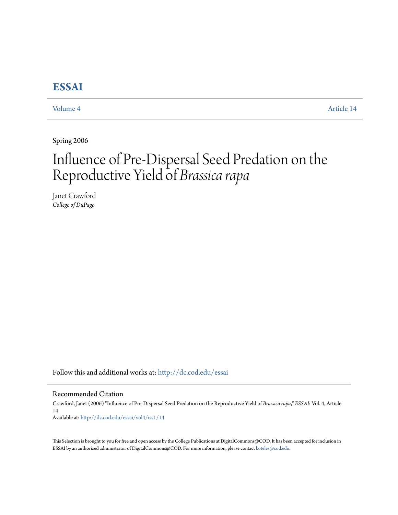## **[ESSAI](http://dc.cod.edu/essai?utm_source=dc.cod.edu%2Fessai%2Fvol4%2Fiss1%2F14&utm_medium=PDF&utm_campaign=PDFCoverPages)**

[Volume 4](http://dc.cod.edu/essai/vol4?utm_source=dc.cod.edu%2Fessai%2Fvol4%2Fiss1%2F14&utm_medium=PDF&utm_campaign=PDFCoverPages) [Article 14](http://dc.cod.edu/essai/vol4/iss1/14?utm_source=dc.cod.edu%2Fessai%2Fvol4%2Fiss1%2F14&utm_medium=PDF&utm_campaign=PDFCoverPages)

Spring 2006

# Influence of Pre-Dispersal Seed Predation on the Reproductive Yield of *Brassica rapa*

Janet Crawford *College of DuPage*

Follow this and additional works at: [http://dc.cod.edu/essai](http://dc.cod.edu/essai?utm_source=dc.cod.edu%2Fessai%2Fvol4%2Fiss1%2F14&utm_medium=PDF&utm_campaign=PDFCoverPages)

Recommended Citation

Crawford, Janet (2006) "Influence of Pre-Dispersal Seed Predation on the Reproductive Yield of *Brassica rapa*," *ESSAI*: Vol. 4, Article 14. Available at: [http://dc.cod.edu/essai/vol4/iss1/14](http://dc.cod.edu/essai/vol4/iss1/14?utm_source=dc.cod.edu%2Fessai%2Fvol4%2Fiss1%2F14&utm_medium=PDF&utm_campaign=PDFCoverPages)

This Selection is brought to you for free and open access by the College Publications at DigitalCommons@COD. It has been accepted for inclusion in ESSAI by an authorized administrator of DigitalCommons@COD. For more information, please contact [koteles@cod.edu](mailto:koteles@cod.edu).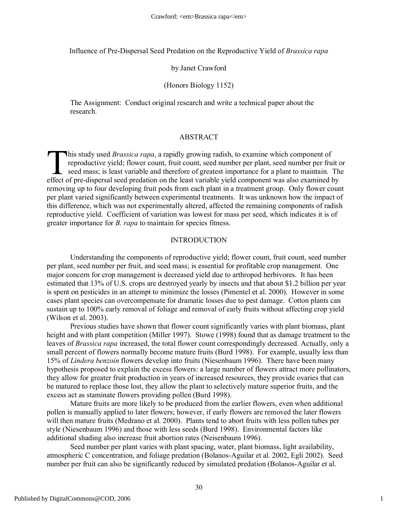Influence of Pre-Dispersal Seed Predation on the Reproductive Yield of *Brassica rapa*

#### by Janet Crawford

### (Honors Biology 1152)

The Assignment: Conduct original research and write a technical paper about the research.

#### ABSTRACT

his study used *Brassica rapa*, a rapidly growing radish, to examine which component of reproductive yield; flower count, fruit count, seed number per plant, seed number per fruit or  $\Box$  seed mass; is least variable and therefore of greatest importance for a plant to maintain. The This study used *Brassica rapa*, a rapidly growing radish, to examine which component of reproductive yield; flower count, fruit count, seed number per plant, seed number per fruit seed mass; is least variable and therefor removing up to four developing fruit pods from each plant in a treatment group. Only flower count per plant varied significantly between experimental treatments. It was unknown how the impact of this difference, which was not experimentally altered, affected the remaining components of radish reproductive yield. Coefficient of variation was lowest for mass per seed, which indicates it is of greater importance for *B. rapa* to maintain for species fitness.

#### INTRODUCTION

Understanding the components of reproductive yield; flower count, fruit count, seed number per plant, seed number per fruit, and seed mass; is essential for profitable crop management. One major concern for crop management is decreased yield due to arthropod herbivores. It has been estimated that 13% of U.S. crops are destroyed yearly by insects and that about \$1.2 billion per year is spent on pesticides in an attempt to minimize the losses (Pimentel et al. 2000). However in some cases plant species can overcompensate for dramatic losses due to pest damage. Cotton plants can sustain up to 100% early removal of foliage and removal of early fruits without affecting crop yield (Wilson et al. 2003).

Previous studies have shown that flower count significantly varies with plant biomass, plant height and with plant competition (Miller 1997). Stowe (1998) found that as damage treatment to the leaves of *Brassica rapa* increased, the total flower count correspondingly decreased. Actually, only a small percent of flowers normally become mature fruits (Burd 1998). For example, usually less than 15% of *Lindera benzoin* flowers develop into fruits (Niesenbaum 1996). There have been many hypothesis proposed to explain the excess flowers: a large number of flowers attract more pollinators, they allow for greater fruit production in years of increased resources, they provide ovaries that can be matured to replace those lost, they allow the plant to selectively mature superior fruits, and the excess act as staminate flowers providing pollen (Burd 1998).

Mature fruits are more likely to be produced from the earlier flowers, even when additional pollen is manually applied to later flowers; however, if early flowers are removed the later flowers will then mature fruits (Medrano et al. 2000). Plants tend to abort fruits with less pollen tubes per style (Niesenbaum 1996) and those with less seeds (Burd 1998). Environmental factors like additional shading also increase fruit abortion rates (Neisenbaum 1996).

Seed number per plant varies with plant spacing, water, plant biomass, light availability, atmospheric C concentration, and foliage predation (Bolanos-Aguilar et al. 2002, Egli 2002). Seed number per fruit can also be significantly reduced by simulated predation (Bolanos-Aguilar et al.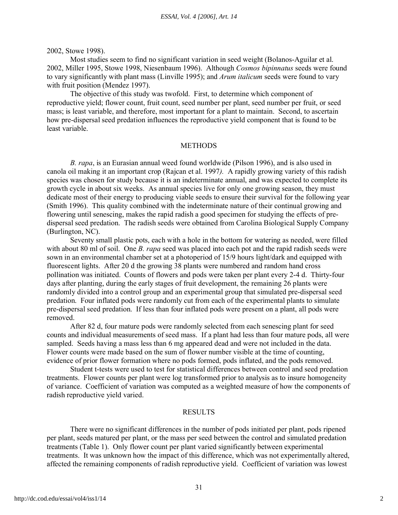2002, Stowe 1998).

Most studies seem to find no significant variation in seed weight (Bolanos-Aguilar et al. 2002, Miller 1995, Stowe 1998, Niesenbaum 1996). Although *Cosmos bipinnatus* seeds were found to vary significantly with plant mass (Linville 1995); and *Arum italicum* seeds were found to vary with fruit position (Mendez 1997).

The objective of this study was twofold. First, to determine which component of reproductive yield; flower count, fruit count, seed number per plant, seed number per fruit, or seed mass; is least variable, and therefore, most important for a plant to maintain. Second, to ascertain how pre-dispersal seed predation influences the reproductive yield component that is found to be least variable.

#### METHODS

*B. rapa*, is an Eurasian annual weed found worldwide (Pilson 1996), and is also used in canola oil making it an important crop (Rajcan et al. 1997*).* A rapidly growing variety of this radish species was chosen for study because it is an indeterminate annual, and was expected to complete its growth cycle in about six weeks. As annual species live for only one growing season, they must dedicate most of their energy to producing viable seeds to ensure their survival for the following year (Smith 1996). This quality combined with the indeterminate nature of their continual growing and flowering until senescing, makes the rapid radish a good specimen for studying the effects of predispersal seed predation. The radish seeds were obtained from Carolina Biological Supply Company (Burlington, NC).

Seventy small plastic pots, each with a hole in the bottom for watering as needed, were filled with about 80 ml of soil. One *B. rapa* seed was placed into each pot and the rapid radish seeds were sown in an environmental chamber set at a photoperiod of 15/9 hours light/dark and equipped with fluorescent lights. After 20 d the growing 38 plants were numbered and random hand cross pollination was initiated. Counts of flowers and pods were taken per plant every 2-4 d. Thirty-four days after planting, during the early stages of fruit development, the remaining 26 plants were randomly divided into a control group and an experimental group that simulated pre-dispersal seed predation. Four inflated pods were randomly cut from each of the experimental plants to simulate pre-dispersal seed predation. If less than four inflated pods were present on a plant, all pods were removed.

After 82 d, four mature pods were randomly selected from each senescing plant for seed counts and individual measurements of seed mass. If a plant had less than four mature pods, all were sampled. Seeds having a mass less than 6 mg appeared dead and were not included in the data. Flower counts were made based on the sum of flower number visible at the time of counting, evidence of prior flower formation where no pods formed, pods inflated, and the pods removed.

Student t-tests were used to test for statistical differences between control and seed predation treatments. Flower counts per plant were log transformed prior to analysis as to insure homogeneity of variance. Coefficient of variation was computed as a weighted measure of how the components of radish reproductive yield varied.

#### RESULTS

There were no significant differences in the number of pods initiated per plant, pods ripened per plant, seeds matured per plant, or the mass per seed between the control and simulated predation treatments (Table 1). Only flower count per plant varied significantly between experimental treatments. It was unknown how the impact of this difference, which was not experimentally altered, affected the remaining components of radish reproductive yield. Coefficient of variation was lowest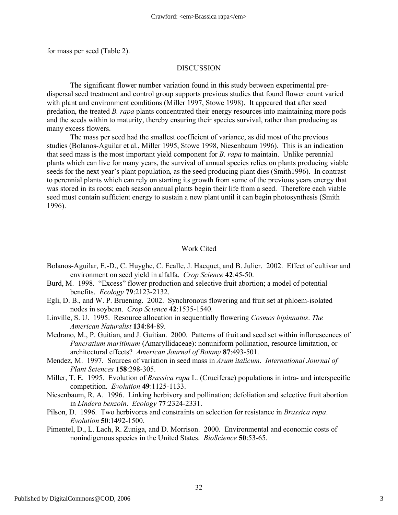for mass per seed (Table 2).

#### DISCUSSION

The significant flower number variation found in this study between experimental predispersal seed treatment and control group supports previous studies that found flower count varied with plant and environment conditions (Miller 1997, Stowe 1998). It appeared that after seed predation, the treated *B. rapa* plants concentrated their energy resources into maintaining more pods and the seeds within to maturity, thereby ensuring their species survival, rather than producing as many excess flowers.

The mass per seed had the smallest coefficient of variance, as did most of the previous studies (Bolanos-Aguilar et al., Miller 1995, Stowe 1998, Niesenbaum 1996). This is an indication that seed mass is the most important yield component for *B. rapa* to maintain. Unlike perennial plants which can live for many years, the survival of annual species relies on plants producing viable seeds for the next year's plant population, as the seed producing plant dies (Smith1996). In contrast to perennial plants which can rely on starting its growth from some of the previous years energy that was stored in its roots; each season annual plants begin their life from a seed. Therefore each viable seed must contain sufficient energy to sustain a new plant until it can begin photosynthesis (Smith 1996).

Work Cited

- Bolanos-Aguilar, E.-D., C. Huyghe, C. Ecalle, J. Hacquet, and B. Julier. 2002. Effect of cultivar and environment on seed yield in alfalfa. *Crop Science* **42**:45-50.
- Burd, M. 1998. "Excess" flower production and selective fruit abortion; a model of potential benefits. *Ecology* **79**:2123-2132.
- Egli, D. B., and W. P. Bruening. 2002. Synchronous flowering and fruit set at phloem-isolated nodes in soybean. *Crop Science* **42**:1535-1540.
- Linville, S. U. 1995. Resource allocation in sequentially flowering *Cosmos bipinnatus*. *The American Naturalist* **134**:84-89.
- Medrano, M., P. Guitian, and J. Guitian. 2000. Patterns of fruit and seed set within inflorescences of *Pancratium maritimum* (Amaryllidaceae): nonuniform pollination, resource limitation, or architectural effects? *American Journal of Botany* **87**:493-501.
- Mendez, M. 1997. Sources of variation in seed mass in *Arum italicum*. *International Journal of Plant Sciences* **158**:298-305.
- Miller, T. E. 1995. Evolution of *Brassica rapa* L. (Cruciferae) populations in intra- and interspecific competition. *Evolution* **49**:1125-1133.
- Niesenbaum, R. A. 1996. Linking herbivory and pollination; defoliation and selective fruit abortion in *Lindera benzoin*. *Ecology* **77**:2324-2331.
- Pilson, D. 1996. Two herbivores and constraints on selection for resistance in *Brassica rapa*. *Evolution* **50**:1492-1500.
- Pimentel, D., L. Lach, R. Zuniga, and D. Morrison. 2000. Environmental and economic costs of nonindigenous species in the United States. *BioScience* **50**:53-65.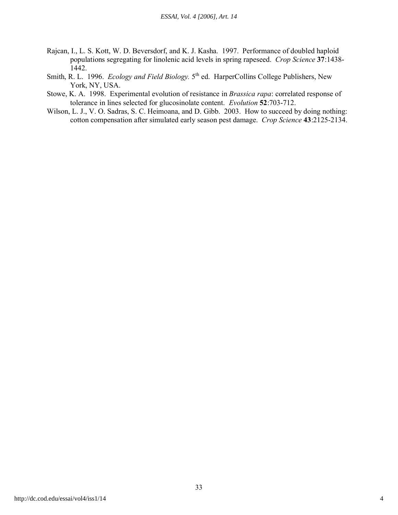- Rajcan, I., L. S. Kott, W. D. Beversdorf, and K. J. Kasha. 1997. Performance of doubled haploid populations segregating for linolenic acid levels in spring rapeseed. *Crop Science* **37**:1438- 1442.
- Smith, R. L. 1996. *Ecology and Field Biology*. 5<sup>th</sup> ed. HarperCollins College Publishers, New York, NY, USA.
- Stowe, K. A. 1998. Experimental evolution of resistance in *Brassica rapa*: correlated response of tolerance in lines selected for glucosinolate content. *Evolution* **52**:703-712.
- Wilson, L. J., V. O. Sadras, S. C. Heimoana, and D. Gibb. 2003. How to succeed by doing nothing: cotton compensation after simulated early season pest damage. *Crop Science* **43**:2125-2134.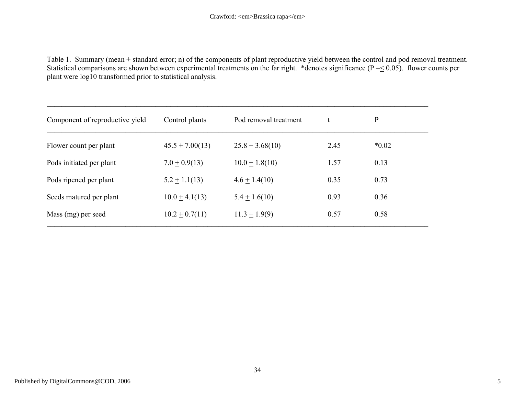Table 1. Summary (mean  $\pm$  standard error; n) of the components of plant reproductive yield between the control and pod removal treatment. Statistical comparisons are shown between experimental treatments on the far right. \*denotes significance  $(P \le 0.05)$ . flower counts per plant were log10 transformed prior to statistical analysis.

| Component of reproductive yield | Control plants      | Pod removal treatment |      | P       |  |
|---------------------------------|---------------------|-----------------------|------|---------|--|
| Flower count per plant          | $45.5 \pm 7.00(13)$ | $25.8 \pm 3.68(10)$   | 2.45 | $*0.02$ |  |
| Pods initiated per plant        | $7.0 \pm 0.9(13)$   | $10.0 \pm 1.8(10)$    | 1.57 | 0.13    |  |
| Pods ripened per plant          | $5.2 \pm 1.1(13)$   | $4.6 \pm 1.4(10)$     | 0.35 | 0.73    |  |
| Seeds matured per plant         | $10.0 \pm 4.1(13)$  | $5.4 \pm 1.6(10)$     | 0.93 | 0.36    |  |
| Mass (mg) per seed              | $10.2 \pm 0.7(11)$  | $11.3 \pm 1.9(9)$     | 0.57 | 0.58    |  |